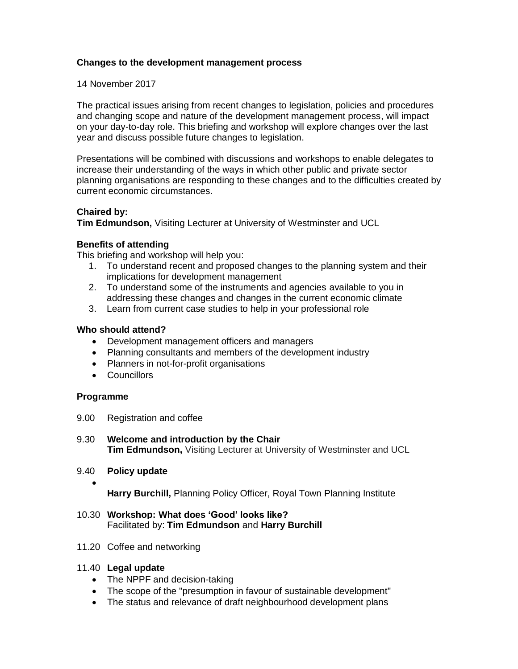# **Changes to the development management process**

14 November 2017

The practical issues arising from recent changes to legislation, policies and procedures and changing scope and nature of the development management process, will impact on your day-to-day role. This briefing and workshop will explore changes over the last year and discuss possible future changes to legislation.

Presentations will be combined with discussions and workshops to enable delegates to increase their understanding of the ways in which other public and private sector planning organisations are responding to these changes and to the difficulties created by current economic circumstances.

## **Chaired by:**

**Tim Edmundson,** Visiting Lecturer at University of Westminster and UCL

## **Benefits of attending**

This briefing and workshop will help you:

- 1. To understand recent and proposed changes to the planning system and their implications for development management
- 2. To understand some of the instruments and agencies available to you in addressing these changes and changes in the current economic climate
- 3. Learn from current case studies to help in your professional role

## **Who should attend?**

- Development management officers and managers
- Planning consultants and members of the development industry
- Planners in not-for-profit organisations
- Councillors

#### **Programme**

 $\bullet$ 

9.00 Registration and coffee

9.30 **Welcome and introduction by the Chair Tim Edmundson,** Visiting Lecturer at University of Westminster and UCL

9.40 **Policy update**

**Harry Burchill,** Planning Policy Officer, Royal Town Planning Institute

- 10.30 **Workshop: What does 'Good' looks like?** Facilitated by: **Tim Edmundson** and **Harry Burchill**
- 11.20 Coffee and networking

# 11.40 **Legal update**

- The NPPF and decision-taking
- The scope of the "presumption in favour of sustainable development"
- The status and relevance of draft neighbourhood development plans